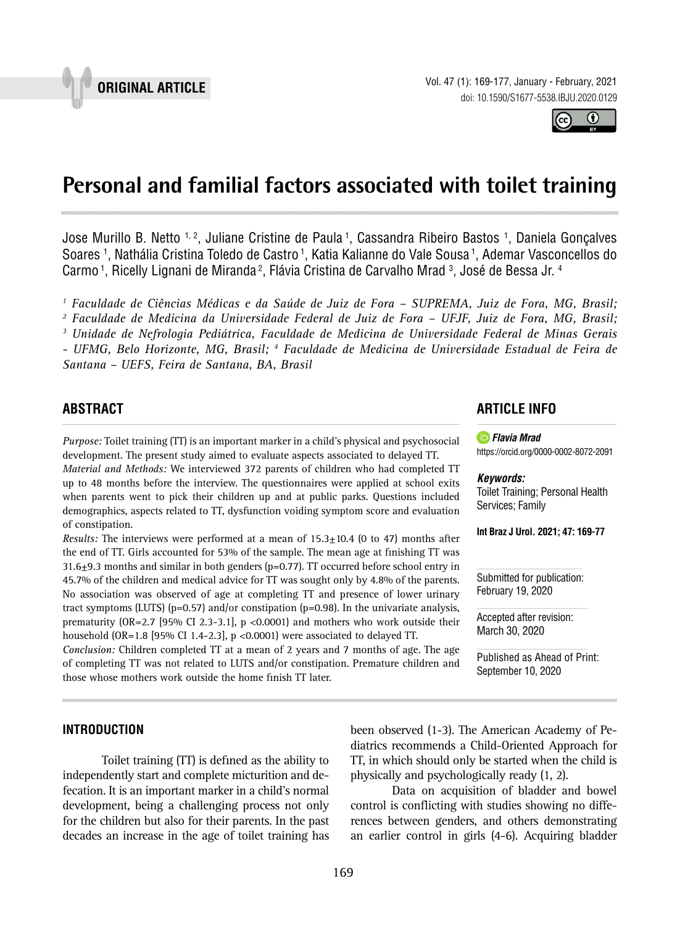



# **Personal and familial factors associated with toilet training \_\_\_\_\_\_\_\_\_\_\_\_\_\_\_\_\_\_\_\_\_\_\_\_\_\_\_\_\_\_\_\_\_\_\_\_\_\_\_\_\_\_\_\_\_\_\_**

Jose Murillo B. Netto <sup>1, 2</sup>, Juliane Cristine de Paula <sup>1</sup>, Cassandra Ribeiro Bastos <sup>1</sup>, Daniela Gonçalves Soares 1 , Nathália Cristina Toledo de Castro 1, Katia Kalianne do Vale Sousa 1, Ademar Vasconcellos do Carmo <sup>1</sup>, Ricelly Lignani de Miranda <sup>2</sup>, Flávia Cristina de Carvalho Mrad <sup>3</sup>, José de Bessa Jr. <sup>4</sup>

*1 Faculdade de Ciências Médicas e da Saúde de Juiz de Fora – SUPREMA, Juiz de Fora, MG, Brasil;* 

*2 Faculdade de Medicina da Universidade Federal de Juiz de Fora – UFJF, Juiz de Fora, MG, Brasil;* 

*3 Unidade de Nefrologia Pediátrica, Faculdade de Medicina de Universidade Federal de Minas Gerais - UFMG, Belo Horizonte, MG, Brasil; 4 Faculdade de Medicina de Universidade Estadual de Feira de Santana – UEFS, Feira de Santana, BA, Brasil*

### **ABSTRACT**

*Purpose:* Toilet training (TT) is an important marker in a child's physical and psychosocial development. The present study aimed to evaluate aspects associated to delayed TT.

*Material and Methods:* We interviewed 372 parents of children who had completed TT up to 48 months before the interview. The questionnaires were applied at school exits when parents went to pick their children up and at public parks. Questions included demographics, aspects related to TT, dysfunction voiding symptom score and evaluation of constipation.

*Results:* The interviews were performed at a mean of 15.3±10.4 (0 to 47) months after the end of TT. Girls accounted for 53% of the sample. The mean age at finishing TT was 31.6 $\pm$ 9.3 months and similar in both genders (p=0.77). TT occurred before school entry in 45.7% of the children and medical advice for TT was sought only by 4.8% of the parents. No association was observed of age at completing TT and presence of lower urinary tract symptoms (LUTS) ( $p=0.57$ ) and/or constipation ( $p=0.98$ ). In the univariate analysis, prematurity (OR=2.7 [95% CI 2.3-3.1], p <0.0001) and mothers who work outside their household (OR=1.8 [95% CI 1.4-2.3], p <0.0001) were associated to delayed TT.

*Conclusion:* Children completed TT at a mean of 2 years and 7 months of age. The age of completing TT was not related to LUTS and/or constipation. Premature children and those whose mothers work outside the home finish TT later.

### **ARTICLE INFO**



[https://orcid.org/](https://orcid.org/0000-0002-9678-8247)0000-0002-8072-2091

#### *Keywords:*

Toilet Training; Personal Health Services; Family

**Int Braz J Urol. 2021; 47: 169-77**

Submitted for publication: February 19, 2020

Accepted after revision: March 30, 2020

Published as Ahead of Print: September 10, 2020

### **INTRODUCTION**

Toilet training (TT) is defined as the ability to independently start and complete micturition and defecation. It is an important marker in a child's normal development, being a challenging process not only for the children but also for their parents. In the past decades an increase in the age of toilet training has been observed (1-3). The American Academy of Pediatrics recommends a Child-Oriented Approach for TT, in which should only be started when the child is physically and psychologically ready (1, 2).

Data on acquisition of bladder and bowel control is conflicting with studies showing no differences between genders, and others demonstrating an earlier control in girls (4-6). Acquiring bladder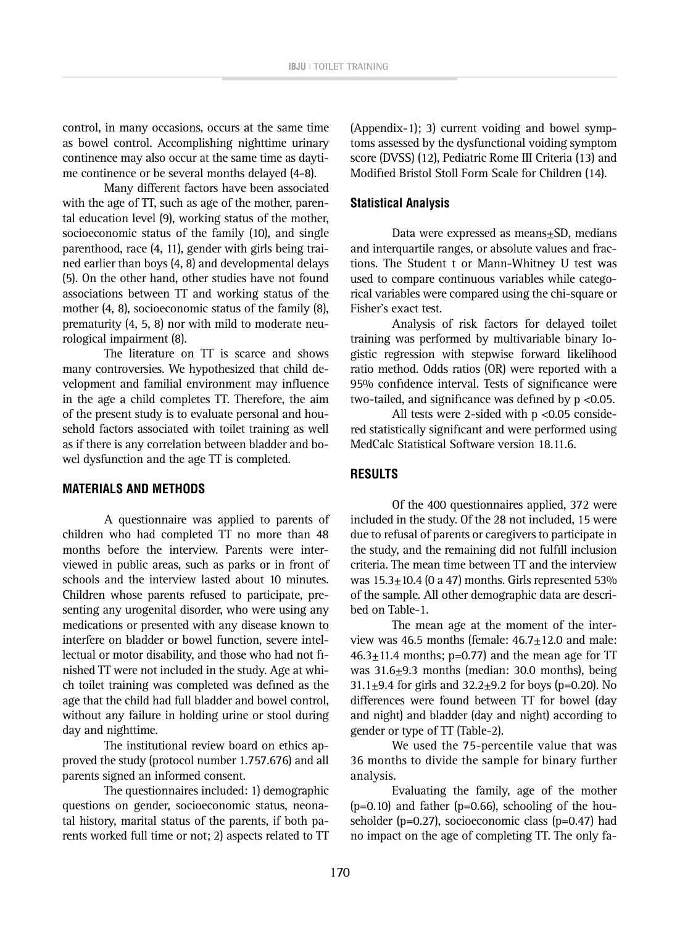control, in many occasions, occurs at the same time as bowel control. Accomplishing nighttime urinary continence may also occur at the same time as daytime continence or be several months delayed (4-8).

Many different factors have been associated with the age of TT, such as age of the mother, parental education level (9), working status of the mother, socioeconomic status of the family (10), and single parenthood, race (4, 11), gender with girls being trained earlier than boys (4, 8) and developmental delays (5). On the other hand, other studies have not found associations between TT and working status of the mother (4, 8), socioeconomic status of the family (8), prematurity (4, 5, 8) nor with mild to moderate neurological impairment (8).

The literature on TT is scarce and shows many controversies. We hypothesized that child development and familial environment may influence in the age a child completes TT. Therefore, the aim of the present study is to evaluate personal and household factors associated with toilet training as well as if there is any correlation between bladder and bowel dysfunction and the age TT is completed.

### **MATERIALS AND METHODS**

A questionnaire was applied to parents of children who had completed TT no more than 48 months before the interview. Parents were interviewed in public areas, such as parks or in front of schools and the interview lasted about 10 minutes. Children whose parents refused to participate, presenting any urogenital disorder, who were using any medications or presented with any disease known to interfere on bladder or bowel function, severe intellectual or motor disability, and those who had not finished TT were not included in the study. Age at which toilet training was completed was defined as the age that the child had full bladder and bowel control, without any failure in holding urine or stool during day and nighttime.

The institutional review board on ethics approved the study (protocol number 1.757.676) and all parents signed an informed consent.

The questionnaires included: 1) demographic questions on gender, socioeconomic status, neonatal history, marital status of the parents, if both parents worked full time or not; 2) aspects related to TT

(Appendix-1); 3) current voiding and bowel symptoms assessed by the dysfunctional voiding symptom score (DVSS) (12), Pediatric Rome III Criteria (13) and Modified Bristol Stoll Form Scale for Children (14).

#### **Statistical Analysis**

Data were expressed as means $\pm$ SD, medians and interquartile ranges, or absolute values and fractions. The Student t or Mann-Whitney U test was used to compare continuous variables while categorical variables were compared using the chi-square or Fisher's exact test.

Analysis of risk factors for delayed toilet training was performed by multivariable binary logistic regression with stepwise forward likelihood ratio method. Odds ratios (OR) were reported with a 95% confidence interval. Tests of significance were two-tailed, and significance was defined by p <0.05.

All tests were 2-sided with p <0.05 considered statistically significant and were performed using MedCalc Statistical Software version 18.11.6.

#### **RESULTS**

Of the 400 questionnaires applied, 372 were included in the study. Of the 28 not included, 15 were due to refusal of parents or caregivers to participate in the study, and the remaining did not fulfill inclusion criteria. The mean time between TT and the interview was 15.3±10.4 (0 a 47) months. Girls represented 53% of the sample. All other demographic data are described on Table-1.

The mean age at the moment of the interview was 46.5 months (female:  $46.7 \pm 12.0$  and male:  $46.3 \pm 11.4$  months; p=0.77) and the mean age for TT was  $31.6\pm9.3$  months (median: 30.0 months), being 31.1 $\pm$ 9.4 for girls and 32.2 $\pm$ 9.2 for boys (p=0.20). No differences were found between TT for bowel (day and night) and bladder (day and night) according to gender or type of TT (Table-2).

We used the 75-percentile value that was 36 months to divide the sample for binary further analysis.

Evaluating the family, age of the mother  $(p=0.10)$  and father  $(p=0.66)$ , schooling of the householder (p=0.27), socioeconomic class (p=0.47) had no impact on the age of completing TT. The only fa-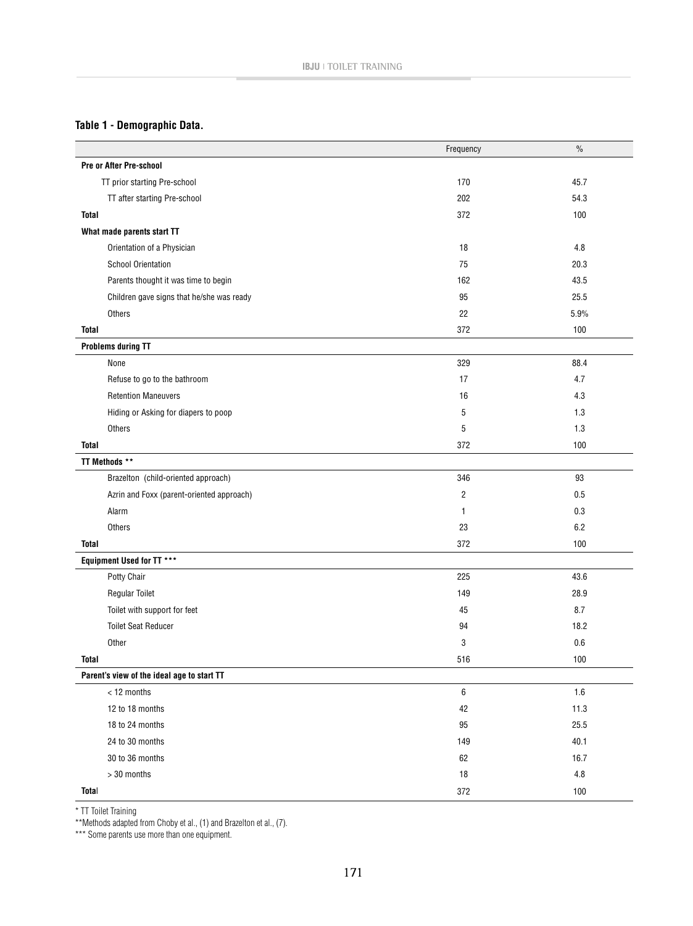## **Table 1 - Demographic Data.**

|                                            | Frequency        | $\%$    |
|--------------------------------------------|------------------|---------|
| Pre or After Pre-school                    |                  |         |
| TT prior starting Pre-school               | 170              | 45.7    |
| TT after starting Pre-school               | 202              | 54.3    |
| <b>Total</b>                               | 372              | 100     |
| What made parents start TT                 |                  |         |
| Orientation of a Physician                 | 18               | 4.8     |
| <b>School Orientation</b>                  | 75               | 20.3    |
| Parents thought it was time to begin       | 162              | 43.5    |
| Children gave signs that he/she was ready  | 95               | 25.5    |
| Others                                     | 22               | 5.9%    |
| Total                                      | 372              | 100     |
| <b>Problems during TT</b>                  |                  |         |
| None                                       | 329              | 88.4    |
| Refuse to go to the bathroom               | 17               | 4.7     |
| <b>Retention Maneuvers</b>                 | 16               | 4.3     |
| Hiding or Asking for diapers to poop       | 5                | 1.3     |
| Others                                     | 5                | 1.3     |
| <b>Total</b>                               | 372              | 100     |
| TT Methods **                              |                  |         |
| Brazelton (child-oriented approach)        | 346              | 93      |
| Azrin and Foxx (parent-oriented approach)  | $\overline{c}$   | 0.5     |
| Alarm                                      | $\mathbf{1}$     | 0.3     |
| Others                                     | 23               | 6.2     |
| <b>Total</b>                               | 372              | 100     |
| Equipment Used for TT ***                  |                  |         |
| Potty Chair                                | 225              | 43.6    |
| <b>Regular Toilet</b>                      | 149              | 28.9    |
| Toilet with support for feet               | 45               | 8.7     |
| <b>Toilet Seat Reducer</b>                 | 94               | 18.2    |
| Other                                      | 3                | 0.6     |
| Total                                      | 516              | $100$   |
| Parent's view of the ideal age to start TT |                  |         |
| < 12 months                                | $\boldsymbol{6}$ | $1.6\,$ |
| 12 to 18 months                            | 42               | 11.3    |
| 18 to 24 months                            | 95               | 25.5    |
| 24 to 30 months                            | 149              | 40.1    |
| 30 to 36 months                            | 62               | 16.7    |
| > 30 months                                | 18               | $4.8\,$ |
| Total                                      | 372              | 100     |

\* TT Toilet Training

\*\*Methods adapted from Choby et al., (1) and Brazelton et al., (7).

\*\*\* Some parents use more than one equipment.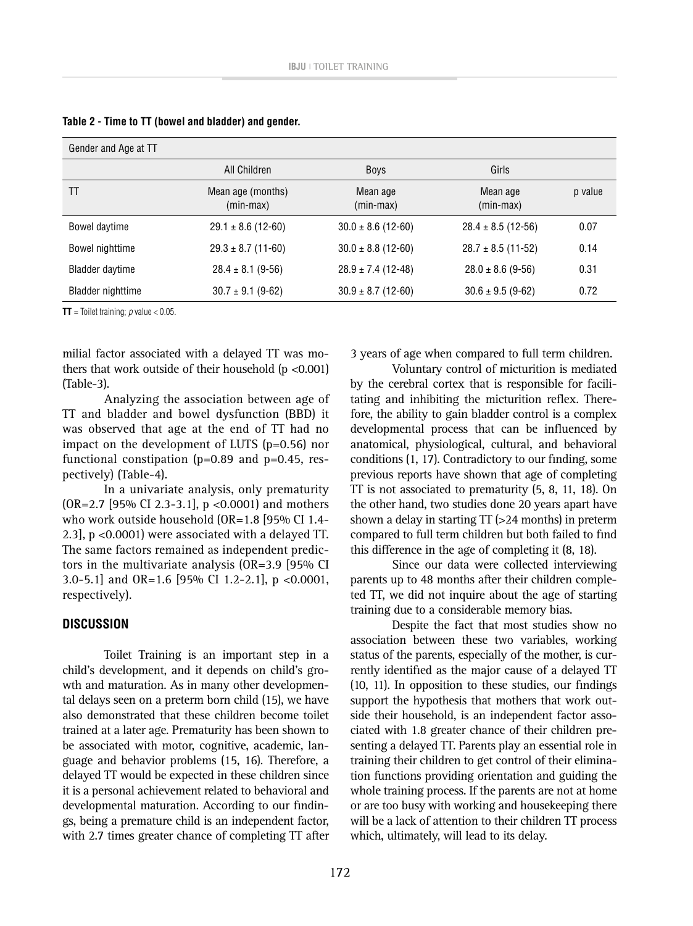| Gender and Age at TT     |                                |                        |                        |         |
|--------------------------|--------------------------------|------------------------|------------------------|---------|
|                          | All Children                   | <b>Boys</b>            | Girls                  |         |
| TT                       | Mean age (months)<br>(min-max) | Mean age<br>(min-max)  | Mean age<br>(min-max)  | p value |
| Bowel daytime            | $29.1 \pm 8.6$ (12-60)         | $30.0 \pm 8.6$ (12-60) | $28.4 \pm 8.5$ (12-56) | 0.07    |
| Bowel nighttime          | $29.3 \pm 8.7$ (11-60)         | $30.0 \pm 8.8$ (12-60) | $28.7 \pm 8.5$ (11-52) | 0.14    |
| <b>Bladder daytime</b>   | $28.4 \pm 8.1$ (9-56)          | $28.9 \pm 7.4$ (12-48) | $28.0 \pm 8.6$ (9-56)  | 0.31    |
| <b>Bladder nighttime</b> | $30.7 \pm 9.1$ (9-62)          | $30.9 \pm 8.7$ (12-60) | $30.6 \pm 9.5$ (9-62)  | 0.72    |

**Table 2 - Time to TT (bowel and bladder) and gender.**

**TT** = Toilet training;  $p$  value  $< 0.05$ .

milial factor associated with a delayed TT was mothers that work outside of their household  $(p < 0.001)$ (Table-3).

Analyzing the association between age of TT and bladder and bowel dysfunction (BBD) it was observed that age at the end of TT had no impact on the development of LUTS (p=0.56) nor functional constipation  $(p=0.89$  and  $p=0.45$ , respectively) (Table-4).

In a univariate analysis, only prematurity  $(OR=2.7$  [95% CI 2.3-3.1], p <0.0001) and mothers who work outside household (OR=1.8 [95% CI 1.4- 2.3], p <0.0001) were associated with a delayed TT. The same factors remained as independent predictors in the multivariate analysis (OR=3.9 [95% CI 3.0-5.1] and OR=1.6 [95% CI 1.2-2.1], p <0.0001, respectively).

### **DISCUSSION**

Toilet Training is an important step in a child's development, and it depends on child's growth and maturation. As in many other developmental delays seen on a preterm born child (15), we have also demonstrated that these children become toilet trained at a later age. Prematurity has been shown to be associated with motor, cognitive, academic, language and behavior problems (15, 16). Therefore, a delayed TT would be expected in these children since it is a personal achievement related to behavioral and developmental maturation. According to our findings, being a premature child is an independent factor, with 2.7 times greater chance of completing TT after 3 years of age when compared to full term children.

Voluntary control of micturition is mediated by the cerebral cortex that is responsible for facilitating and inhibiting the micturition reflex. Therefore, the ability to gain bladder control is a complex developmental process that can be influenced by anatomical, physiological, cultural, and behavioral conditions (1, 17). Contradictory to our finding, some previous reports have shown that age of completing TT is not associated to prematurity (5, 8, 11, 18). On the other hand, two studies done 20 years apart have shown a delay in starting TT (>24 months) in preterm compared to full term children but both failed to find this difference in the age of completing it (8, 18).

Since our data were collected interviewing parents up to 48 months after their children completed TT, we did not inquire about the age of starting training due to a considerable memory bias.

Despite the fact that most studies show no association between these two variables, working status of the parents, especially of the mother, is currently identified as the major cause of a delayed TT (10, 11). In opposition to these studies, our findings support the hypothesis that mothers that work outside their household, is an independent factor associated with 1.8 greater chance of their children presenting a delayed TT. Parents play an essential role in training their children to get control of their elimination functions providing orientation and guiding the whole training process. If the parents are not at home or are too busy with working and housekeeping there will be a lack of attention to their children TT process which, ultimately, will lead to its delay.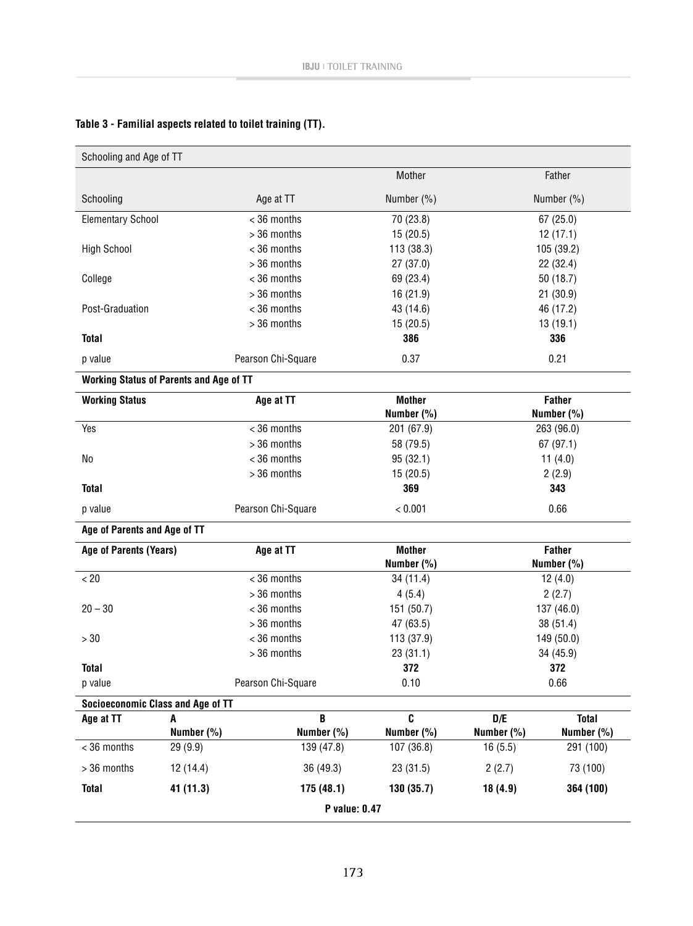| Schooling and Age of TT                  |                                                |                    |                 |                   |                            |  |
|------------------------------------------|------------------------------------------------|--------------------|-----------------|-------------------|----------------------------|--|
|                                          |                                                |                    | Mother          |                   | Father                     |  |
| Schooling                                |                                                | Age at TT          | Number (%)      | Number (%)        |                            |  |
| <b>Elementary School</b>                 |                                                | < 36 months        | 70 (23.8)       |                   | 67(25.0)                   |  |
|                                          |                                                | > 36 months        | 15(20.5)        |                   | 12(17.1)                   |  |
| <b>High School</b>                       |                                                | < 36 months        | 113 (38.3)      |                   | 105 (39.2)                 |  |
|                                          |                                                | > 36 months        | 27(37.0)        | 22 (32.4)         |                            |  |
| College                                  |                                                | < 36 months        | 69 (23.4)       | 50(18.7)          |                            |  |
|                                          |                                                | > 36 months        | 16 (21.9)       | 21(30.9)          |                            |  |
| Post-Graduation                          |                                                | < 36 months        | 43 (14.6)       | 46 (17.2)         |                            |  |
|                                          |                                                | > 36 months        | 15(20.5)        | 13(19.1)          |                            |  |
| <b>Total</b>                             |                                                |                    | 386             | 336               |                            |  |
| p value                                  |                                                | Pearson Chi-Square | 0.37            | 0.21              |                            |  |
|                                          | <b>Working Status of Parents and Age of TT</b> |                    |                 |                   |                            |  |
| <b>Working Status</b>                    |                                                | Age at TT          | <b>Mother</b>   | <b>Father</b>     |                            |  |
|                                          |                                                |                    | Number (%)      |                   | Number (%)                 |  |
| Yes                                      |                                                | < 36 months        | 201 (67.9)      | 263 (96.0)        |                            |  |
|                                          |                                                | > 36 months        | 58 (79.5)       | 67(97.1)          |                            |  |
| No                                       |                                                | < 36 months        | 95(32.1)        | 11 $(4.0)$        |                            |  |
|                                          |                                                | > 36 months        | 15(20.5)        | 2(2.9)            |                            |  |
| <b>Total</b>                             |                                                |                    | 369             | 343               |                            |  |
| p value                                  |                                                | Pearson Chi-Square | < 0.001         | 0.66              |                            |  |
| Age of Parents and Age of TT             |                                                |                    |                 |                   |                            |  |
| Age of Parents (Years)                   |                                                | Age at TT          | <b>Mother</b>   | <b>Father</b>     |                            |  |
|                                          |                                                |                    | Number (%)      | Number (%)        |                            |  |
| < 20                                     |                                                | < 36 months        | 34(11.4)        | 12(4.0)           |                            |  |
|                                          |                                                | > 36 months        | 4(5.4)          | 2(2.7)            |                            |  |
| $20 - 30$                                |                                                | < 36 months        | 151 (50.7)      | 137 (46.0)        |                            |  |
|                                          |                                                | > 36 months        | 47 (63.5)       | 38(51.4)          |                            |  |
| >30                                      |                                                | < 36 months        | 113 (37.9)      | 149 (50.0)        |                            |  |
|                                          |                                                | > 36 months        | 23(31.1)        | 34 (45.9)         |                            |  |
| <b>Total</b>                             |                                                |                    | 372<br>0.10     | 372               |                            |  |
| p value                                  |                                                | Pearson Chi-Square |                 | 0.66              |                            |  |
| <b>Socioeconomic Class and Age of TT</b> |                                                | B                  |                 |                   |                            |  |
| Age at TT                                | A<br>Number (%)                                | Number (%)         | C<br>Number (%) | D/E<br>Number (%) | <b>Total</b><br>Number (%) |  |
| < 36 months                              | 29 (9.9)                                       | 139 (47.8)         | 107 (36.8)      | 16(5.5)           | 291 (100)                  |  |
| > 36 months                              | 12 (14.4)                                      | 36 (49.3)          | 23(31.5)        | 2(2.7)            | 73 (100)                   |  |
| <b>Total</b>                             | 41 (11.3)                                      | 175(48.1)          | 130 (35.7)      | 18(4.9)           | 364 (100)                  |  |
| P value: 0.47                            |                                                |                    |                 |                   |                            |  |

# **Table 3 - Familial aspects related to toilet training (TT).**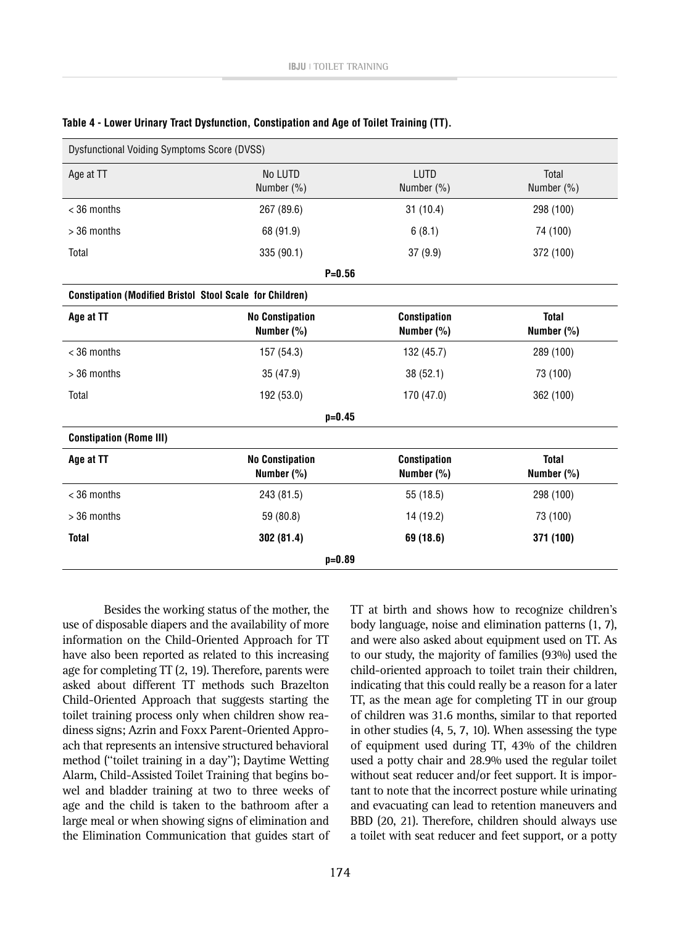| Dysfunctional Voiding Symptoms Score (DVSS)                     |                                      |                                   |                            |
|-----------------------------------------------------------------|--------------------------------------|-----------------------------------|----------------------------|
| Age at TT                                                       | No LUTD<br>Number (%)                | LUTD<br>Number (%)                | Total<br>Number (%)        |
| $<$ 36 months                                                   | 267 (89.6)                           | 31(10.4)                          | 298 (100)                  |
| $>$ 36 months                                                   | 68 (91.9)                            | 6(8.1)                            | 74 (100)                   |
| Total                                                           | 335 (90.1)                           | 37(9.9)                           | 372 (100)                  |
|                                                                 | $P = 0.56$                           |                                   |                            |
| <b>Constipation (Modified Bristol Stool Scale for Children)</b> |                                      |                                   |                            |
| Age at TT                                                       | <b>No Constipation</b><br>Number (%) | <b>Constipation</b><br>Number (%) | <b>Total</b><br>Number (%) |
| $<$ 36 months                                                   | 157 (54.3)                           | 132 (45.7)                        | 289 (100)                  |
| > 36 months                                                     | 35 (47.9)                            | 38(52.1)                          | 73 (100)                   |
| Total                                                           | 192 (53.0)                           | 170 (47.0)                        | 362 (100)                  |
|                                                                 | $p = 0.45$                           |                                   |                            |
| <b>Constipation (Rome III)</b>                                  |                                      |                                   |                            |
| Age at TT                                                       | <b>No Constipation</b><br>Number (%) | <b>Constipation</b><br>Number (%) | <b>Total</b><br>Number (%) |
| < 36 months                                                     | 243 (81.5)                           | 55 (18.5)                         | 298 (100)                  |
| $>$ 36 months                                                   | 59 (80.8)                            | 14 (19.2)                         | 73 (100)                   |
| <b>Total</b>                                                    | 302(81.4)                            | 69 (18.6)                         | 371 (100)                  |
| $p = 0.89$                                                      |                                      |                                   |                            |

#### **Table 4 - Lower Urinary Tract Dysfunction, Constipation and Age of Toilet Training (TT).**

Besides the working status of the mother, the use of disposable diapers and the availability of more information on the Child-Oriented Approach for TT have also been reported as related to this increasing age for completing TT (2, 19). Therefore, parents were asked about different TT methods such Brazelton Child-Oriented Approach that suggests starting the toilet training process only when children show readiness signs; Azrin and Foxx Parent-Oriented Approach that represents an intensive structured behavioral method (''toilet training in a day''); Daytime Wetting Alarm, Child-Assisted Toilet Training that begins bowel and bladder training at two to three weeks of age and the child is taken to the bathroom after a large meal or when showing signs of elimination and the Elimination Communication that guides start of

TT at birth and shows how to recognize children's body language, noise and elimination patterns (1, 7), and were also asked about equipment used on TT. As to our study, the majority of families (93%) used the child-oriented approach to toilet train their children, indicating that this could really be a reason for a later TT, as the mean age for completing TT in our group of children was 31.6 months, similar to that reported in other studies (4, 5, 7, 10). When assessing the type of equipment used during TT, 43% of the children used a potty chair and 28.9% used the regular toilet without seat reducer and/or feet support. It is important to note that the incorrect posture while urinating and evacuating can lead to retention maneuvers and BBD (20, 21). Therefore, children should always use a toilet with seat reducer and feet support, or a potty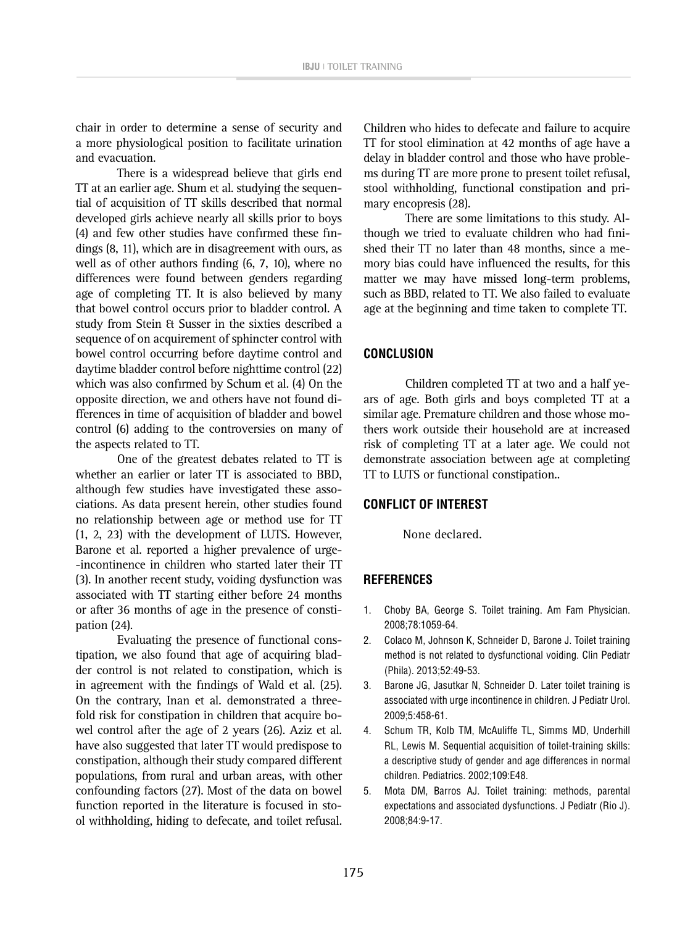chair in order to determine a sense of security and a more physiological position to facilitate urination and evacuation.

There is a widespread believe that girls end TT at an earlier age. Shum et al. studying the sequential of acquisition of TT skills described that normal developed girls achieve nearly all skills prior to boys (4) and few other studies have confirmed these findings (8, 11), which are in disagreement with ours, as well as of other authors finding (6, 7, 10), where no differences were found between genders regarding age of completing TT. It is also believed by many that bowel control occurs prior to bladder control. A study from Stein & Susser in the sixties described a sequence of on acquirement of sphincter control with bowel control occurring before daytime control and daytime bladder control before nighttime control (22) which was also confirmed by Schum et al. (4) On the opposite direction, we and others have not found differences in time of acquisition of bladder and bowel control (6) adding to the controversies on many of the aspects related to TT.

One of the greatest debates related to TT is whether an earlier or later TT is associated to BBD, although few studies have investigated these associations. As data present herein, other studies found no relationship between age or method use for TT (1, 2, 23) with the development of LUTS. However, Barone et al. reported a higher prevalence of urge- -incontinence in children who started later their TT (3). In another recent study, voiding dysfunction was associated with TT starting either before 24 months or after 36 months of age in the presence of constipation (24).

Evaluating the presence of functional constipation, we also found that age of acquiring bladder control is not related to constipation, which is in agreement with the findings of Wald et al. (25). On the contrary, Inan et al. demonstrated a threefold risk for constipation in children that acquire bowel control after the age of 2 years (26). Aziz et al. have also suggested that later TT would predispose to constipation, although their study compared different populations, from rural and urban areas, with other confounding factors (27). Most of the data on bowel function reported in the literature is focused in stool withholding, hiding to defecate, and toilet refusal.

Children who hides to defecate and failure to acquire TT for stool elimination at 42 months of age have a delay in bladder control and those who have problems during TT are more prone to present toilet refusal, stool withholding, functional constipation and primary encopresis (28).

There are some limitations to this study. Although we tried to evaluate children who had finished their TT no later than 48 months, since a memory bias could have influenced the results, for this matter we may have missed long-term problems, such as BBD, related to TT. We also failed to evaluate age at the beginning and time taken to complete TT.

### **CONCLUSION**

Children completed TT at two and a half years of age. Both girls and boys completed TT at a similar age. Premature children and those whose mothers work outside their household are at increased risk of completing TT at a later age. We could not demonstrate association between age at completing TT to LUTS or functional constipation..

### **CONFLICT OF INTEREST**

None declared.

### **REFERENCES**

- 1. Choby BA, George S. Toilet training. Am Fam Physician. 2008;78:1059-64.
- 2. Colaco M, Johnson K, Schneider D, Barone J. Toilet training method is not related to dysfunctional voiding. Clin Pediatr (Phila). 2013;52:49-53.
- 3. Barone JG, Jasutkar N, Schneider D. Later toilet training is associated with urge incontinence in children. J Pediatr Urol. 2009;5:458-61.
- 4. Schum TR, Kolb TM, McAuliffe TL, Simms MD, Underhill RL, Lewis M. Sequential acquisition of toilet-training skills: a descriptive study of gender and age differences in normal children. Pediatrics. 2002;109:E48.
- 5. Mota DM, Barros AJ. Toilet training: methods, parental expectations and associated dysfunctions. J Pediatr (Rio J). 2008;84:9-17.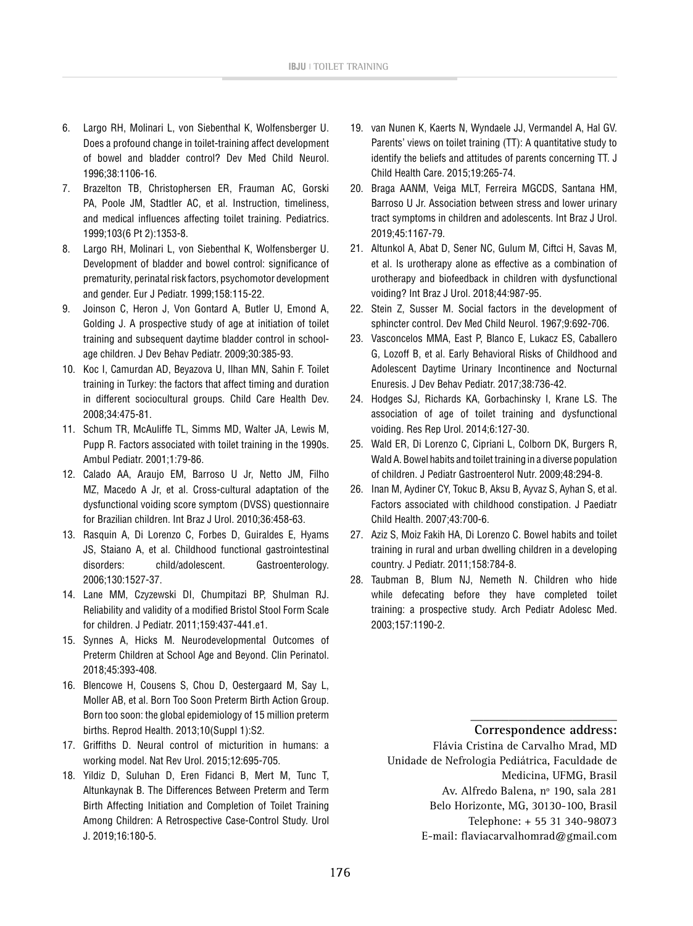- 6. Largo RH, Molinari L, von Siebenthal K, Wolfensberger U. Does a profound change in toilet-training affect development of bowel and bladder control? Dev Med Child Neurol. 1996;38:1106-16.
- 7. Brazelton TB, Christophersen ER, Frauman AC, Gorski PA, Poole JM, Stadtler AC, et al. Instruction, timeliness, and medical influences affecting toilet training. Pediatrics. 1999;103(6 Pt 2):1353-8.
- 8. Largo RH, Molinari L, von Siebenthal K, Wolfensberger U. Development of bladder and bowel control: significance of prematurity, perinatal risk factors, psychomotor development and gender. Eur J Pediatr. 1999;158:115-22.
- 9. Joinson C, Heron J, Von Gontard A, Butler U, Emond A, Golding J. A prospective study of age at initiation of toilet training and subsequent daytime bladder control in schoolage children. J Dev Behav Pediatr. 2009;30:385-93.
- 10. Koc I, Camurdan AD, Beyazova U, Ilhan MN, Sahin F. Toilet training in Turkey: the factors that affect timing and duration in different sociocultural groups. Child Care Health Dev. 2008;34:475-81.
- 11. Schum TR, McAuliffe TL, Simms MD, Walter JA, Lewis M, Pupp R. Factors associated with toilet training in the 1990s. Ambul Pediatr. 2001;1:79-86.
- 12. Calado AA, Araujo EM, Barroso U Jr, Netto JM, Filho MZ, Macedo A Jr, et al. Cross-cultural adaptation of the dysfunctional voiding score symptom (DVSS) questionnaire for Brazilian children. Int Braz J Urol. 2010;36:458-63.
- 13. Rasquin A, Di Lorenzo C, Forbes D, Guiraldes E, Hyams JS, Staiano A, et al. Childhood functional gastrointestinal disorders: child/adolescent. Gastroenterology. 2006;130:1527-37.
- 14. Lane MM, Czyzewski DI, Chumpitazi BP, Shulman RJ. Reliability and validity of a modified Bristol Stool Form Scale for children. J Pediatr. 2011;159:437-441.e1.
- 15. Synnes A, Hicks M. Neurodevelopmental Outcomes of Preterm Children at School Age and Beyond. Clin Perinatol. 2018;45:393-408.
- 16. Blencowe H, Cousens S, Chou D, Oestergaard M, Say L, Moller AB, et al. Born Too Soon Preterm Birth Action Group. Born too soon: the global epidemiology of 15 million preterm births. Reprod Health. 2013;10(Suppl 1):S2.
- 17. Griffiths D. Neural control of micturition in humans: a working model. Nat Rev Urol. 2015;12:695-705.
- 18. Yildiz D, Suluhan D, Eren Fidanci B, Mert M, Tunc T, Altunkaynak B. The Differences Between Preterm and Term Birth Affecting Initiation and Completion of Toilet Training Among Children: A Retrospective Case-Control Study. Urol J. 2019;16:180-5.
- 19. van Nunen K, Kaerts N, Wyndaele JJ, Vermandel A, Hal GV. Parents' views on toilet training (TT): A quantitative study to identify the beliefs and attitudes of parents concerning TT. J Child Health Care. 2015;19:265-74.
- 20. Braga AANM, Veiga MLT, Ferreira MGCDS, Santana HM, Barroso U Jr. Association between stress and lower urinary tract symptoms in children and adolescents. Int Braz J Urol. 2019;45:1167-79.
- 21. Altunkol A, Abat D, Sener NC, Gulum M, Ciftci H, Savas M, et al. Is urotherapy alone as effective as a combination of urotherapy and biofeedback in children with dysfunctional voiding? Int Braz J Urol. 2018;44:987-95.
- 22. Stein Z, Susser M. Social factors in the development of sphincter control. Dev Med Child Neurol. 1967;9:692-706.
- 23. Vasconcelos MMA, East P, Blanco E, Lukacz ES, Caballero G, Lozoff B, et al. Early Behavioral Risks of Childhood and Adolescent Daytime Urinary Incontinence and Nocturnal Enuresis. J Dev Behav Pediatr. 2017;38:736-42.
- 24. Hodges SJ, Richards KA, Gorbachinsky I, Krane LS. The association of age of toilet training and dysfunctional voiding. Res Rep Urol. 2014;6:127-30.
- 25. Wald ER, Di Lorenzo C, Cipriani L, Colborn DK, Burgers R, Wald A. Bowel habits and toilet training in a diverse population of children. J Pediatr Gastroenterol Nutr. 2009;48:294-8.
- 26. Inan M, Aydiner CY, Tokuc B, Aksu B, Ayvaz S, Ayhan S, et al. Factors associated with childhood constipation. J Paediatr Child Health. 2007;43:700-6.
- 27. Aziz S, Moiz Fakih HA, Di Lorenzo C. Bowel habits and toilet training in rural and urban dwelling children in a developing country. J Pediatr. 2011;158:784-8.
- 28. Taubman B, Blum NJ, Nemeth N. Children who hide while defecating before they have completed toilet training: a prospective study. Arch Pediatr Adolesc Med. 2003;157:1190-2.

**\_\_\_\_\_\_\_\_\_\_\_\_\_\_\_\_\_\_\_\_\_\_\_ Correspondence address:**

Flávia Cristina de Carvalho Mrad, MD Unidade de Nefrologia Pediátrica, Faculdade de Medicina, UFMG, Brasil Av. Alfredo Balena, nº 190, sala 281 Belo Horizonte, MG, 30130-100, Brasil Telephone: + 55 31 340-98073

E-mail: [flaviacarvalhomrad@gmail.com](mailto:flaviacarvalhomrad@gmail.com)